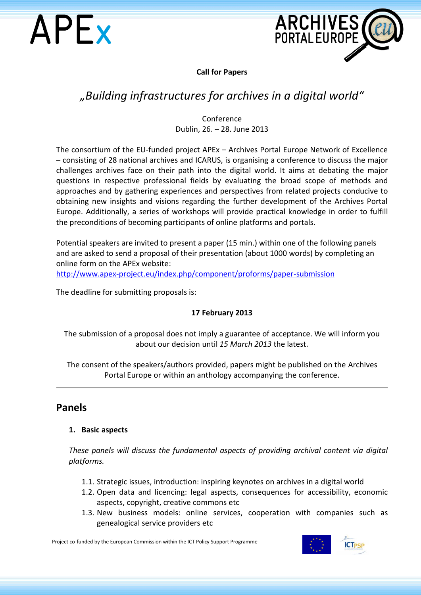



**Call for Papers**

# *"Building infrastructures for archives in a digital world"*

## Conference Dublin, 26. – 28. June 2013

The consortium of the EU-funded project APEx – Archives Portal Europe Network of Excellence – consisting of 28 national archives and ICARUS, is organising a conference to discuss the major challenges archives face on their path into the digital world. It aims at debating the major questions in respective professional fields by evaluating the broad scope of methods and approaches and by gathering experiences and perspectives from related projects conducive to obtaining new insights and visions regarding the further development of the Archives Portal Europe. Additionally, a series of workshops will provide practical knowledge in order to fulfill the preconditions of becoming participants of online platforms and portals.

Potential speakers are invited to present a paper (15 min.) within one of the following panels and are asked to send a proposal of their presentation (about 1000 words) by completing an online form on the APEx website:

<http://www.apex-project.eu/index.php/component/proforms/paper-submission>

The deadline for submitting proposals is:

## **17 February 2013**

The submission of a proposal does not imply a guarantee of acceptance. We will inform you about our decision until *15 March 2013* the latest.

The consent of the speakers/authors provided, papers might be published on the [Archives](http://www.archivesportaleurope.eu/)  [Portal Europe](http://www.archivesportaleurope.eu/) or within an anthology accompanying the conference.

# **Panels**

#### **1. Basic aspects**

*These panels will discuss the fundamental aspects of providing archival content via digital platforms.*

- 1.1. Strategic issues, introduction: inspiring keynotes on archives in a digital world
- 1.2. Open data and licencing: legal aspects, consequences for accessibility, economic aspects, copyright, creative commons etc
- 1.3. New business models: online services, cooperation with companies such as genealogical service providers etc